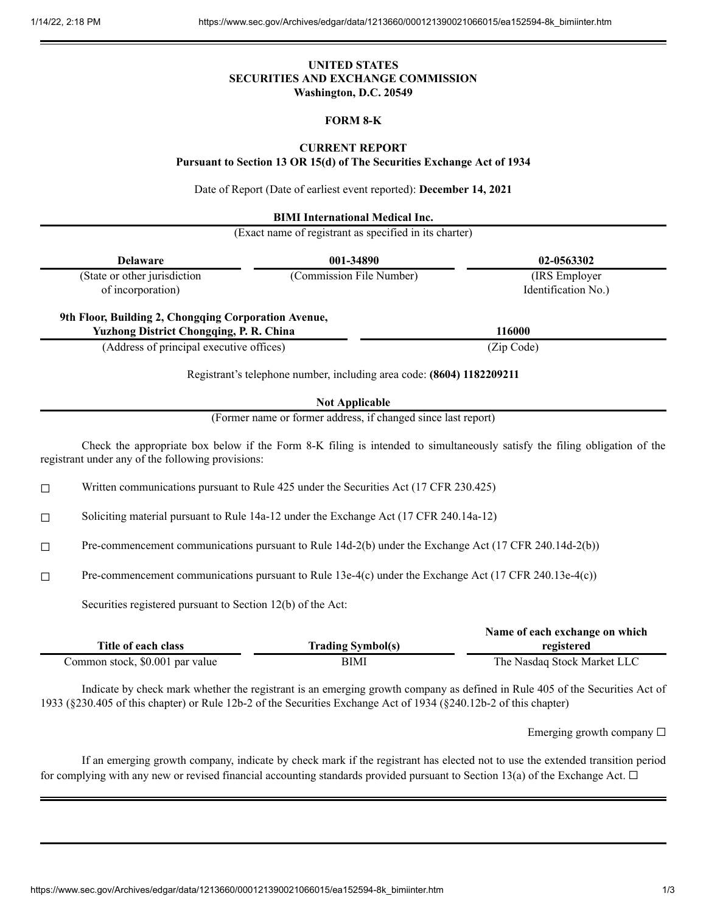## **UNITED STATES SECURITIES AND EXCHANGE COMMISSION Washington, D.C. 20549**

# **FORM 8-K**

# **CURRENT REPORT**

**Pursuant to Section 13 OR 15(d) of The Securities Exchange Act of 1934**

Date of Report (Date of earliest event reported): **December 14, 2021**

**BIMI International Medical Inc.**

(Exact name of registrant as specified in its charter)

|        | <b>Delaware</b>                                                                                        | 001-34890                                                                                                         | 02-0563302                                                                                                                  |
|--------|--------------------------------------------------------------------------------------------------------|-------------------------------------------------------------------------------------------------------------------|-----------------------------------------------------------------------------------------------------------------------------|
|        | (State or other jurisdiction<br>of incorporation)                                                      | (Commission File Number)                                                                                          | (IRS Employer<br>Identification No.)                                                                                        |
|        | 9th Floor, Building 2, Chongqing Corporation Avenue,<br>Yuzhong District Chongqing, P. R. China        |                                                                                                                   | 116000                                                                                                                      |
|        | (Address of principal executive offices)                                                               |                                                                                                                   | (Zip Code)                                                                                                                  |
|        |                                                                                                        | Registrant's telephone number, including area code: (8604) 1182209211                                             |                                                                                                                             |
|        |                                                                                                        | <b>Not Applicable</b>                                                                                             |                                                                                                                             |
|        |                                                                                                        | (Former name or former address, if changed since last report)                                                     |                                                                                                                             |
|        | registrant under any of the following provisions:                                                      |                                                                                                                   | Check the appropriate box below if the Form 8-K filing is intended to simultaneously satisfy the filing obligation of the   |
| $\Box$ | Written communications pursuant to Rule 425 under the Securities Act (17 CFR 230.425)                  |                                                                                                                   |                                                                                                                             |
| □      | Soliciting material pursuant to Rule 14a-12 under the Exchange Act (17 CFR 240.14a-12)                 |                                                                                                                   |                                                                                                                             |
| □      | Pre-commencement communications pursuant to Rule 14d-2(b) under the Exchange Act (17 CFR 240.14d-2(b)) |                                                                                                                   |                                                                                                                             |
| □      | Pre-commencement communications pursuant to Rule 13e-4(c) under the Exchange Act (17 CFR 240.13e-4(c)) |                                                                                                                   |                                                                                                                             |
|        | Securities registered pursuant to Section 12(b) of the Act:                                            |                                                                                                                   |                                                                                                                             |
|        | Title of each class                                                                                    | <b>Trading Symbol(s)</b>                                                                                          | Name of each exchange on which<br>registered                                                                                |
|        | Common stock, \$0.001 par value                                                                        | <b>BIMI</b>                                                                                                       | The Nasdaq Stock Market LLC                                                                                                 |
|        |                                                                                                        | 1933 (§230.405 of this chapter) or Rule 12b-2 of the Securities Exchange Act of 1934 (§240.12b-2 of this chapter) | Indicate by check mark whether the registrant is an emerging growth company as defined in Rule 405 of the Securities Act of |
|        |                                                                                                        |                                                                                                                   | Emerging growth company $\Box$                                                                                              |

If an emerging growth company, indicate by check mark if the registrant has elected not to use the extended transition period for complying with any new or revised financial accounting standards provided pursuant to Section 13(a) of the Exchange Act.  $\Box$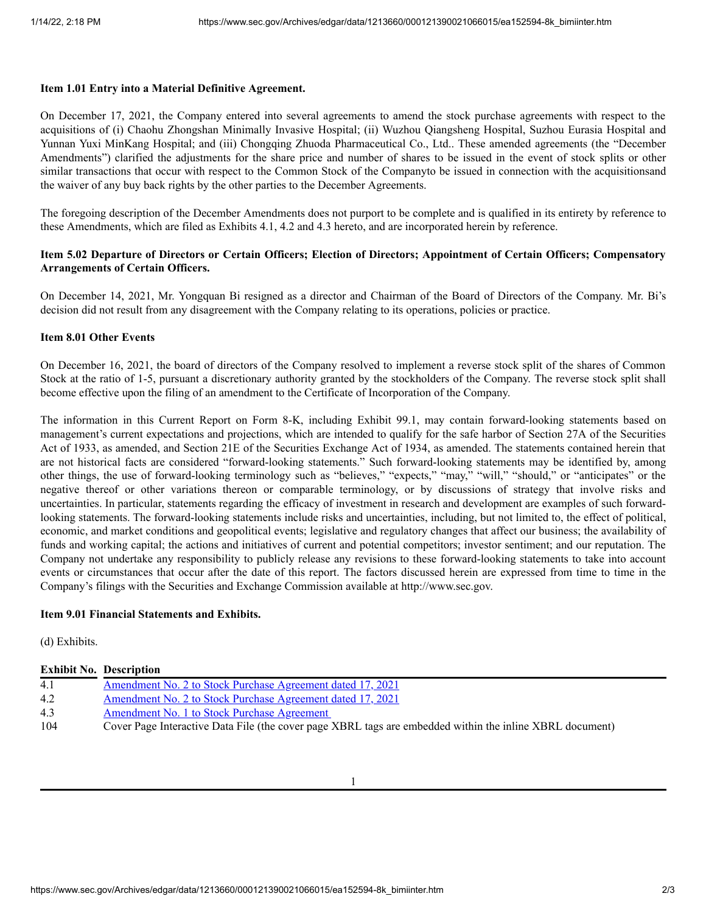### **Item 1.01 Entry into a Material Definitive Agreement.**

On December 17, 2021, the Company entered into several agreements to amend the stock purchase agreements with respect to the acquisitions of (i) Chaohu Zhongshan Minimally Invasive Hospital; (ii) Wuzhou Qiangsheng Hospital, Suzhou Eurasia Hospital and Yunnan Yuxi MinKang Hospital; and (iii) Chongqing Zhuoda Pharmaceutical Co., Ltd.. These amended agreements (the "December Amendments") clarified the adjustments for the share price and number of shares to be issued in the event of stock splits or other similar transactions that occur with respect to the Common Stock of the Companyto be issued in connection with the acquisitionsand the waiver of any buy back rights by the other parties to the December Agreements.

The foregoing description of the December Amendments does not purport to be complete and is qualified in its entirety by reference to these Amendments, which are filed as Exhibits 4.1, 4.2 and 4.3 hereto, and are incorporated herein by reference.

### Item 5.02 Departure of Directors or Certain Officers; Election of Directors; Appointment of Certain Officers; Compensatory **Arrangements of Certain Officers.**

On December 14, 2021, Mr. Yongquan Bi resigned as a director and Chairman of the Board of Directors of the Company. Mr. Bi's decision did not result from any disagreement with the Company relating to its operations, policies or practice.

#### **Item 8.01 Other Events**

On December 16, 2021, the board of directors of the Company resolved to implement a reverse stock split of the shares of Common Stock at the ratio of 1-5, pursuant a discretionary authority granted by the stockholders of the Company. The reverse stock split shall become effective upon the filing of an amendment to the Certificate of Incorporation of the Company.

The information in this Current Report on Form 8-K, including Exhibit 99.1, may contain forward-looking statements based on management's current expectations and projections, which are intended to qualify for the safe harbor of Section 27A of the Securities Act of 1933, as amended, and Section 21E of the Securities Exchange Act of 1934, as amended. The statements contained herein that are not historical facts are considered "forward-looking statements." Such forward-looking statements may be identified by, among other things, the use of forward-looking terminology such as "believes," "expects," "may," "will," "should," or "anticipates" or the negative thereof or other variations thereon or comparable terminology, or by discussions of strategy that involve risks and uncertainties. In particular, statements regarding the efficacy of investment in research and development are examples of such forwardlooking statements. The forward-looking statements include risks and uncertainties, including, but not limited to, the effect of political, economic, and market conditions and geopolitical events; legislative and regulatory changes that affect our business; the availability of funds and working capital; the actions and initiatives of current and potential competitors; investor sentiment; and our reputation. The Company not undertake any responsibility to publicly release any revisions to these forward-looking statements to take into account events or circumstances that occur after the date of this report. The factors discussed herein are expressed from time to time in the Company's filings with the Securities and Exchange Commission available at http://www.sec.gov.

### **Item 9.01 Financial Statements and Exhibits.**

(d) Exhibits.

### **Exhibit No. Description**

| 4.1 | Amendment No. 2 to Stock Purchase Agreement dated 17, 2021                                               |
|-----|----------------------------------------------------------------------------------------------------------|
| 4.2 | Amendment No. 2 to Stock Purchase Agreement dated 17, 2021                                               |
| 4.3 | Amendment No. 1 to Stock Purchase Agreement                                                              |
| 104 | Cover Page Interactive Data File (the cover page XBRL tags are embedded within the inline XBRL document) |

1